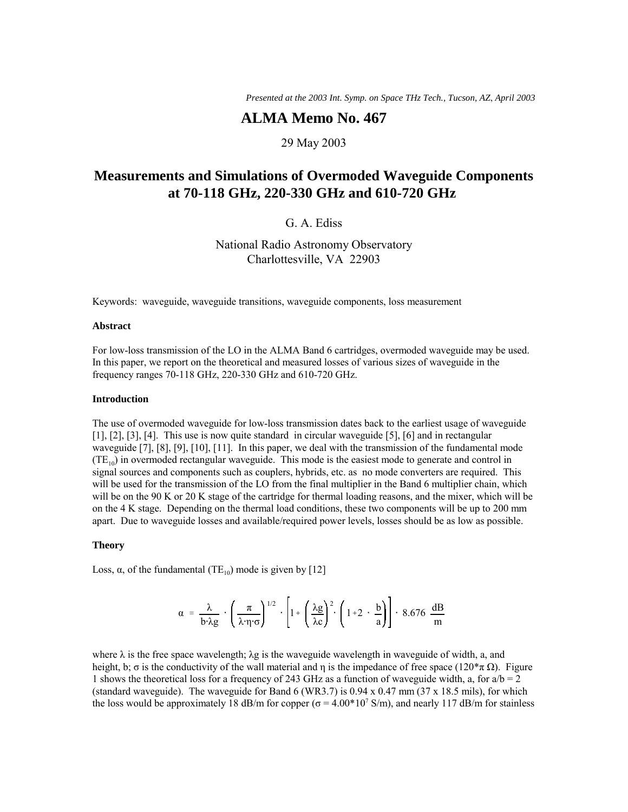*Presented at the 2003 Int. Symp. on Space THz Tech., Tucson, AZ*, *April 2003*

# **ALMA Memo No. 467**

# 29 May 2003

# **Measurements and Simulations of Overmoded Waveguide Components at 70-118 GHz, 220-330 GHz and 610-720 GHz**

G. A. Ediss

National Radio Astronomy Observatory Charlottesville, VA 22903

Keywords: waveguide, waveguide transitions, waveguide components, loss measurement

### **Abstract**

For low-loss transmission of the LO in the ALMA Band 6 cartridges, overmoded waveguide may be used. In this paper, we report on the theoretical and measured losses of various sizes of waveguide in the frequency ranges 70-118 GHz, 220-330 GHz and 610-720 GHz.

#### **Introduction**

The use of overmoded waveguide for low-loss transmission dates back to the earliest usage of waveguide [1], [2], [3], [4]. This use is now quite standard in circular waveguide [5], [6] and in rectangular waveguide [7], [8], [9], [10], [11]. In this paper, we deal with the transmission of the fundamental mode  $(TE<sub>10</sub>)$  in overmoded rectangular waveguide. This mode is the easiest mode to generate and control in signal sources and components such as couplers, hybrids, etc. as no mode converters are required. This will be used for the transmission of the LO from the final multiplier in the Band 6 multiplier chain, which will be on the 90 K or 20 K stage of the cartridge for thermal loading reasons, and the mixer, which will be on the 4 K stage. Depending on the thermal load conditions, these two components will be up to 200 mm apart. Due to waveguide losses and available/required power levels, losses should be as low as possible.

#### **Theory**

Loss,  $\alpha$ , of the fundamental (TE<sub>10</sub>) mode is given by [12]

$$
\alpha = \frac{\lambda}{b \cdot \lambda g} \cdot \left(\frac{\pi}{\lambda \cdot \eta \cdot \sigma}\right)^{1/2} \cdot \left[1 + \left(\frac{\lambda g}{\lambda c}\right)^2 \cdot \left(1 + 2 \cdot \frac{b}{a}\right)\right] \cdot 8.676 \frac{dB}{m}
$$

where  $\lambda$  is the free space wavelength;  $\lambda$ g is the waveguide wavelength in waveguide of width, a, and height, b;  $\sigma$  is the conductivity of the wall material and η is the impedance of free space (120 $*\pi \Omega$ ). Figure 1 shows the theoretical loss for a frequency of 243 GHz as a function of waveguide width, a, for  $a/b = 2$ (standard waveguide). The waveguide for Band 6 (WR3.7) is 0.94 x 0.47 mm (37 x 18.5 mils), for which the loss would be approximately 18 dB/m for copper ( $\sigma = 4.00*10^7$  S/m), and nearly 117 dB/m for stainless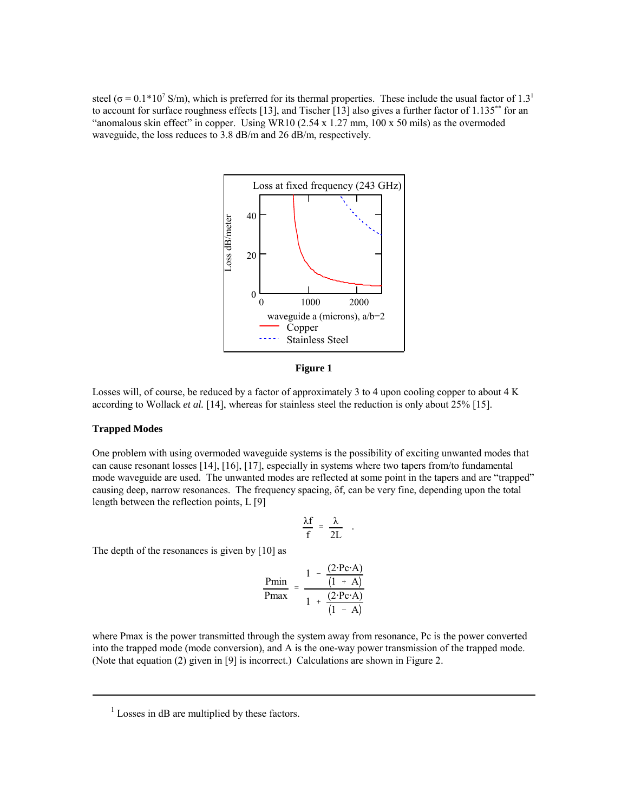steel ( $\sigma$  = 0.1\*10<sup>7</sup> S/m), which is preferred for its thermal properties. These include the usual factor of 1.3<sup>1</sup> to account for surface roughness effects [13], and Tischer [13] also gives a further factor of 1.135\*\* for an "anomalous skin effect" in copper. Using WR10  $(2.54 \times 1.27 \text{ mm}, 100 \times 50 \text{ miles})$  as the overmoded waveguide, the loss reduces to 3.8 dB/m and 26 dB/m, respectively.



**Figure 1**

Losses will, of course, be reduced by a factor of approximately 3 to 4 upon cooling copper to about 4 K according to Wollack *et al.* [14], whereas for stainless steel the reduction is only about 25% [15].

### **Trapped Modes**

One problem with using overmoded waveguide systems is the possibility of exciting unwanted modes that can cause resonant losses [14], [16], [17], especially in systems where two tapers from/to fundamental mode waveguide are used. The unwanted modes are reflected at some point in the tapers and are "trapped" causing deep, narrow resonances. The frequency spacing, δf, can be very fine, depending upon the total length between the reflection points, L [9]

$$
\frac{\lambda f}{f} = \frac{\lambda}{2L} .
$$

The depth of the resonances is given by [10] as

$$
\frac{\text{Pmin}}{\text{Pmax}} = \frac{1 - \frac{(2 \cdot \text{Pc} \cdot \text{A})}{(1 + \text{A})}}{1 + \frac{(2 \cdot \text{Pc} \cdot \text{A})}{(1 - \text{A})}}
$$

where Pmax is the power transmitted through the system away from resonance, Pc is the power converted into the trapped mode (mode conversion), and A is the one-way power transmission of the trapped mode. (Note that equation (2) given in [9] is incorrect.) Calculations are shown in Figure 2.

 $<sup>1</sup>$  Losses in dB are multiplied by these factors.</sup>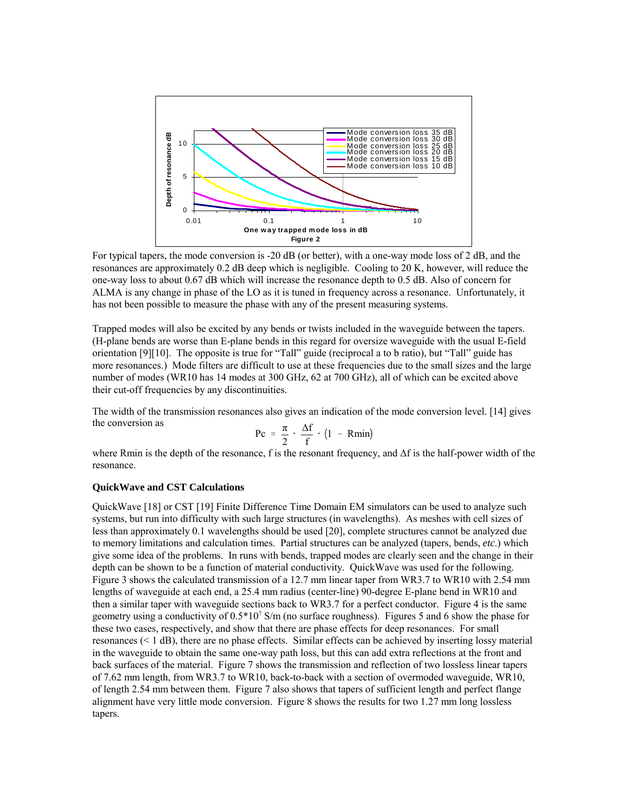

For typical tapers, the mode conversion is -20 dB (or better), with a one-way mode loss of 2 dB, and the resonances are approximately 0.2 dB deep which is negligible. Cooling to 20 K, however, will reduce the one-way loss to about 0.67 dB which will increase the resonance depth to 0.5 dB. Also of concern for ALMA is any change in phase of the LO as it is tuned in frequency across a resonance. Unfortunately, it has not been possible to measure the phase with any of the present measuring systems.

Trapped modes will also be excited by any bends or twists included in the waveguide between the tapers. (H-plane bends are worse than E-plane bends in this regard for oversize waveguide with the usual E-field orientation  $[9][10]$ . The opposite is true for "Tall" guide (reciprocal a to b ratio), but "Tall" guide has more resonances.) Mode filters are difficult to use at these frequencies due to the small sizes and the large number of modes (WR10 has 14 modes at 300 GHz, 62 at 700 GHz), all of which can be excited above their cut-off frequencies by any discontinuities.

The width of the transmission resonances also gives an indication of the mode conversion level. [14] gives the conversion as

$$
Pc = \frac{\pi}{2} \cdot \frac{\Delta f}{f} \cdot (1 - Rmin)
$$

where Rmin is the depth of the resonance, f is the resonant frequency, and ∆f is the half-power width of the resonance.

### **QuickWave and CST Calculations**

QuickWave [18] or CST [19] Finite Difference Time Domain EM simulators can be used to analyze such systems, but run into difficulty with such large structures (in wavelengths). As meshes with cell sizes of less than approximately 0.1 wavelengths should be used [20], complete structures cannot be analyzed due to memory limitations and calculation times. Partial structures can be analyzed (tapers, bends, *etc*.) which give some idea of the problems. In runs with bends, trapped modes are clearly seen and the change in their depth can be shown to be a function of material conductivity. QuickWave was used for the following. Figure 3 shows the calculated transmission of a 12.7 mm linear taper from WR3.7 to WR10 with 2.54 mm lengths of waveguide at each end, a 25.4 mm radius (center-line) 90-degree E-plane bend in WR10 and then a similar taper with waveguide sections back to WR3.7 for a perfect conductor. Figure 4 is the same geometry using a conductivity of  $0.5*10^7$  S/m (no surface roughness). Figures 5 and 6 show the phase for these two cases, respectively, and show that there are phase effects for deep resonances. For small resonances (< 1 dB), there are no phase effects. Similar effects can be achieved by inserting lossy material in the waveguide to obtain the same one-way path loss, but this can add extra reflections at the front and back surfaces of the material. Figure 7 shows the transmission and reflection of two lossless linear tapers of 7.62 mm length, from WR3.7 to WR10, back-to-back with a section of overmoded waveguide, WR10, of length 2.54 mm between them. Figure 7 also shows that tapers of sufficient length and perfect flange alignment have very little mode conversion. Figure 8 shows the results for two 1.27 mm long lossless tapers.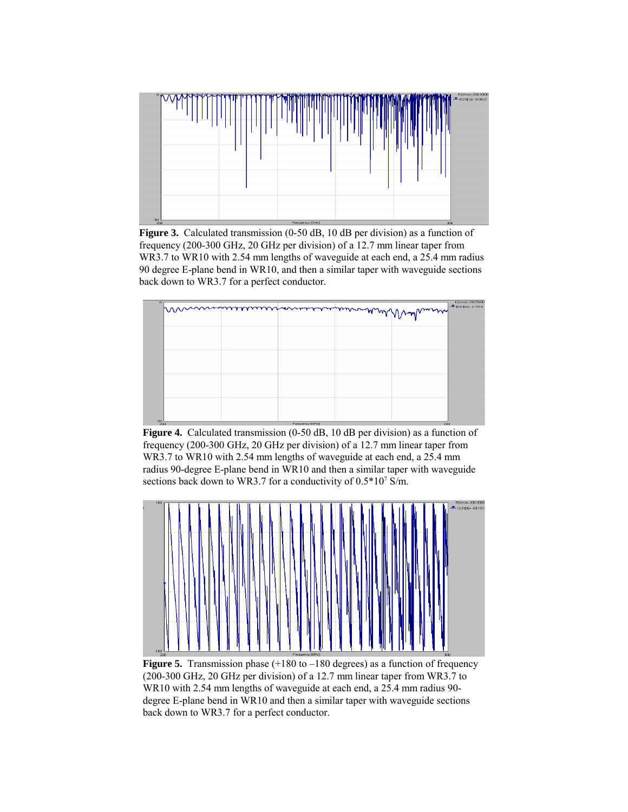

**Figure 3.** Calculated transmission (0-50 dB, 10 dB per division) as a function of frequency (200-300 GHz, 20 GHz per division) of a 12.7 mm linear taper from WR3.7 to WR10 with 2.54 mm lengths of waveguide at each end, a 25.4 mm radius 90 degree E-plane bend in WR10, and then a similar taper with waveguide sections back down to WR3.7 for a perfect conductor.



**Figure 4.** Calculated transmission (0-50 dB, 10 dB per division) as a function of frequency (200-300 GHz, 20 GHz per division) of a 12.7 mm linear taper from WR3.7 to WR10 with 2.54 mm lengths of waveguide at each end, a 25.4 mm radius 90-degree E-plane bend in WR10 and then a similar taper with waveguide sections back down to WR3.7 for a conductivity of  $0.5*10^7$  S/m.



**Figure 5.** Transmission phase  $(+180 \text{ to } -180 \text{ degrees})$  as a function of frequency (200-300 GHz, 20 GHz per division) of a 12.7 mm linear taper from WR3.7 to WR10 with 2.54 mm lengths of waveguide at each end, a 25.4 mm radius 90 degree E-plane bend in WR10 and then a similar taper with waveguide sections back down to WR3.7 for a perfect conductor.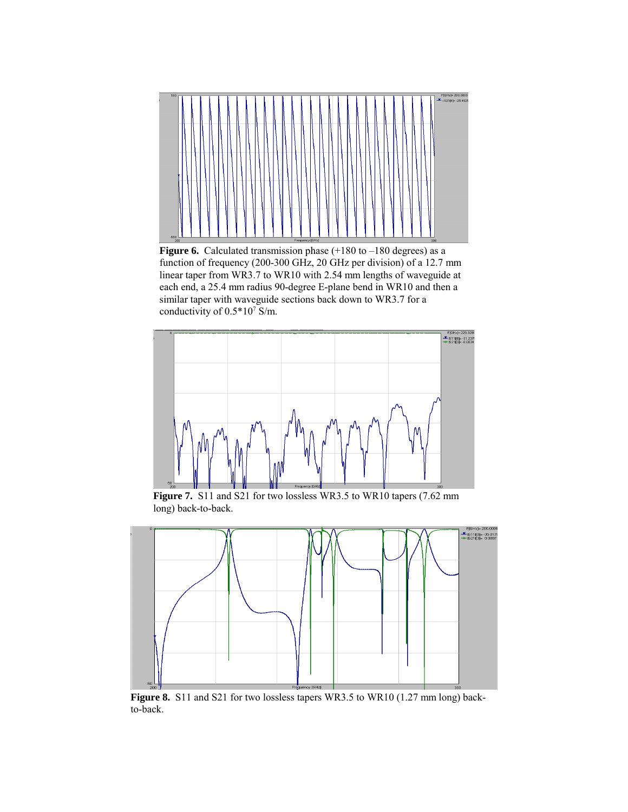

**Figure 6.** Calculated transmission phase  $(+180 \text{ to } -180 \text{ degrees})$  as a function of frequency (200-300 GHz, 20 GHz per division) of a 12.7 mm linear taper from WR3.7 to WR10 with 2.54 mm lengths of waveguide at each end, a 25.4 mm radius 90-degree E-plane bend in WR10 and then a similar taper with waveguide sections back down to WR3.7 for a conductivity of  $0.5*10^7$  S/m.



**Figure 7.** S11 and S21 for two lossless WR3.5 to WR10 tapers (7.62 mm long) back-to-back.



**Figure 8.** S11 and S21 for two lossless tapers WR3.5 to WR10 (1.27 mm long) backto-back.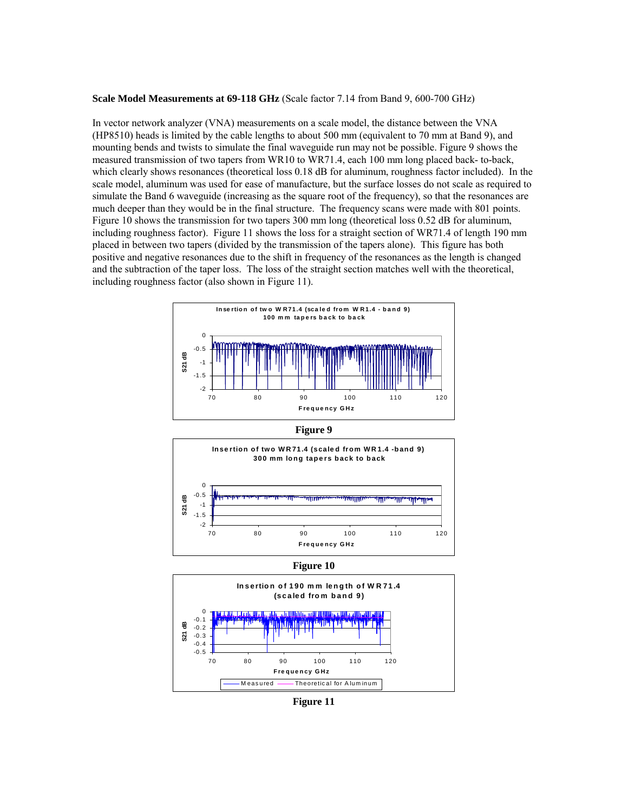#### **Scale Model Measurements at 69-118 GHz** (Scale factor 7.14 from Band 9, 600-700 GHz)

In vector network analyzer (VNA) measurements on a scale model, the distance between the VNA (HP8510) heads is limited by the cable lengths to about 500 mm (equivalent to 70 mm at Band 9), and mounting bends and twists to simulate the final waveguide run may not be possible. Figure 9 shows the measured transmission of two tapers from WR10 to WR71.4, each 100 mm long placed back- to-back, which clearly shows resonances (theoretical loss  $0.18$  dB for aluminum, roughness factor included). In the scale model, aluminum was used for ease of manufacture, but the surface losses do not scale as required to simulate the Band 6 waveguide (increasing as the square root of the frequency), so that the resonances are much deeper than they would be in the final structure. The frequency scans were made with 801 points. Figure 10 shows the transmission for two tapers 300 mm long (theoretical loss 0.52 dB for aluminum, including roughness factor). Figure 11 shows the loss for a straight section of WR71.4 of length 190 mm placed in between two tapers (divided by the transmission of the tapers alone). This figure has both positive and negative resonances due to the shift in frequency of the resonances as the length is changed and the subtraction of the taper loss. The loss of the straight section matches well with the theoretical, including roughness factor (also shown in Figure 11).



**Figure 9**



**Figure 10**



**Figure 11**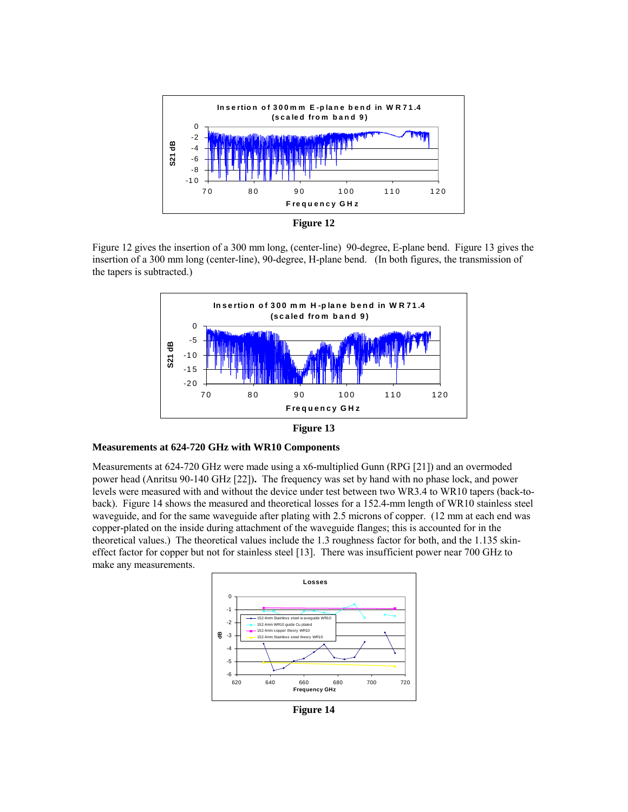



Figure 12 gives the insertion of a 300 mm long, (center-line) 90-degree, E-plane bend. Figure 13 gives the insertion of a 300 mm long (center-line), 90-degree, H-plane bend. (In both figures, the transmission of the tapers is subtracted.)



**Figure 13**

## **Measurements at 624-720 GHz with WR10 Components**

Measurements at 624-720 GHz were made using a x6-multiplied Gunn (RPG [21]) and an overmoded power head (Anritsu 90-140 GHz [22])**.** The frequency was set by hand with no phase lock, and power levels were measured with and without the device under test between two WR3.4 to WR10 tapers (back-toback). Figure 14 shows the measured and theoretical losses for a 152.4-mm length of WR10 stainless steel waveguide, and for the same waveguide after plating with 2.5 microns of copper. (12 mm at each end was copper-plated on the inside during attachment of the waveguide flanges; this is accounted for in the theoretical values.) The theoretical values include the 1.3 roughness factor for both, and the 1.135 skineffect factor for copper but not for stainless steel [13]. There was insufficient power near 700 GHz to make any measurements.



**Figure 14**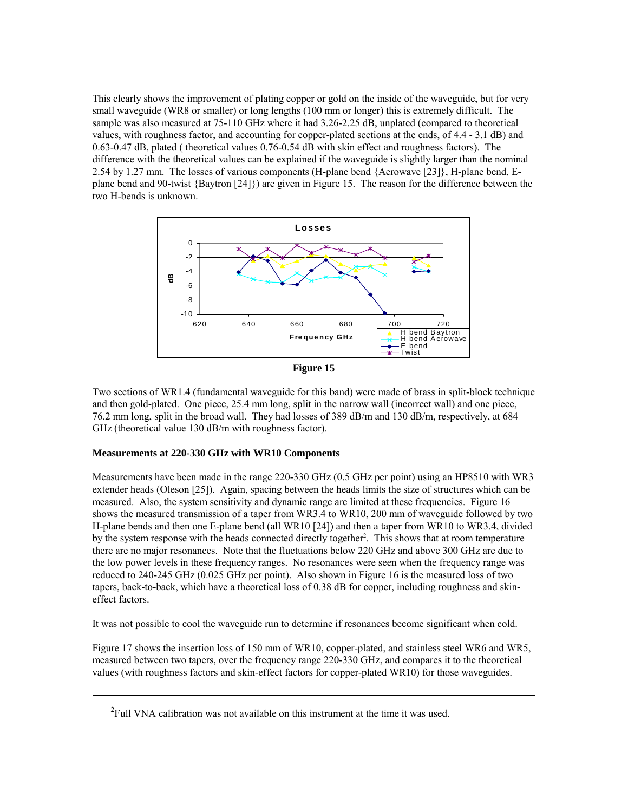This clearly shows the improvement of plating copper or gold on the inside of the waveguide, but for very small waveguide (WR8 or smaller) or long lengths (100 mm or longer) this is extremely difficult. The sample was also measured at 75-110 GHz where it had 3.26-2.25 dB, unplated (compared to theoretical values, with roughness factor, and accounting for copper-plated sections at the ends, of 4.4 - 3.1 dB) and 0.63-0.47 dB, plated ( theoretical values 0.76-0.54 dB with skin effect and roughness factors). The difference with the theoretical values can be explained if the waveguide is slightly larger than the nominal 2.54 by 1.27 mm. The losses of various components (H-plane bend {Aerowave [23]}, H-plane bend, Eplane bend and 90-twist {Baytron [24]}) are given in Figure 15. The reason for the difference between the two H-bends is unknown.



**Figure 15**

Two sections of WR1.4 (fundamental waveguide for this band) were made of brass in split-block technique and then gold-plated. One piece, 25.4 mm long, split in the narrow wall (incorrect wall) and one piece, 76.2 mm long, split in the broad wall. They had losses of 389 dB/m and 130 dB/m, respectively, at 684 GHz (theoretical value 130 dB/m with roughness factor).

# **Measurements at 220-330 GHz with WR10 Components**

Measurements have been made in the range 220-330 GHz (0.5 GHz per point) using an HP8510 with WR3 extender heads (Oleson [25]).Again, spacing between the heads limits the size of structures which can be measured. Also, the system sensitivity and dynamic range are limited at these frequencies. Figure 16 shows the measured transmission of a taper from WR3.4 to WR10, 200 mm of waveguide followed by two H-plane bends and then one E-plane bend (all WR10 [24]) and then a taper from WR10 to WR3.4, divided by the system response with the heads connected directly together<sup>2</sup>. This shows that at room temperature there are no major resonances. Note that the fluctuations below 220 GHz and above 300 GHz are due to the low power levels in these frequency ranges. No resonances were seen when the frequency range was reduced to 240-245 GHz (0.025 GHz per point). Also shown in Figure 16 is the measured loss of two tapers, back-to-back, which have a theoretical loss of 0.38 dB for copper, including roughness and skineffect factors.

It was not possible to cool the waveguide run to determine if resonances become significant when cold.

Figure 17 shows the insertion loss of 150 mm of WR10, copper-plated, and stainless steel WR6 and WR5, measured between two tapers, over the frequency range 220-330 GHz, and compares it to the theoretical values (with roughness factors and skin-effect factors for copper-plated WR10) for those waveguides.

<sup>&</sup>lt;sup>2</sup>Full VNA calibration was not available on this instrument at the time it was used.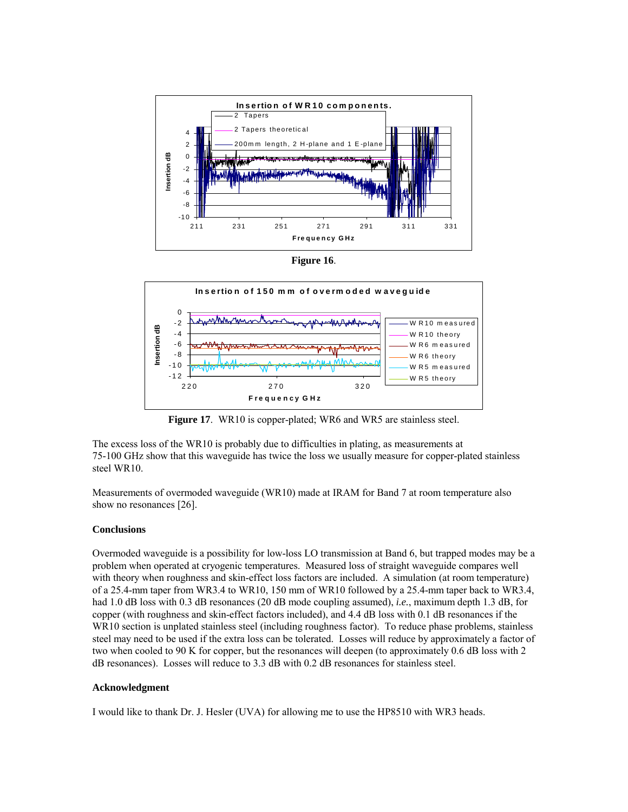





**Figure 17.** WR10 is copper-plated; WR6 and WR5 are stainless steel.

The excess loss of the WR10 is probably due to difficulties in plating, as measurements at 75-100 GHz show that this waveguide has twice the loss we usually measure for copper-plated stainless steel WR10.

Measurements of overmoded waveguide (WR10) made at IRAM for Band 7 at room temperature also show no resonances [26].

### **Conclusions**

Overmoded waveguide is a possibility for low-loss LO transmission at Band 6, but trapped modes may be a problem when operated at cryogenic temperatures. Measured loss of straight waveguide compares well with theory when roughness and skin-effect loss factors are included. A simulation (at room temperature) of a 25.4-mm taper from WR3.4 to WR10, 150 mm of WR10 followed by a 25.4-mm taper back to WR3.4, had 1.0 dB loss with 0.3 dB resonances (20 dB mode coupling assumed), *i.e.*, maximum depth 1.3 dB, for copper (with roughness and skin-effect factors included), and 4.4 dB loss with 0.1 dB resonances if the WR10 section is unplated stainless steel (including roughness factor). To reduce phase problems, stainless steel may need to be used if the extra loss can be tolerated. Losses will reduce by approximately a factor of two when cooled to 90 K for copper, but the resonances will deepen (to approximately 0.6 dB loss with 2 dB resonances). Losses will reduce to 3.3 dB with 0.2 dB resonances for stainless steel.

## **Acknowledgment**

I would like to thank Dr. J. Hesler (UVA) for allowing me to use the HP8510 with WR3 heads.